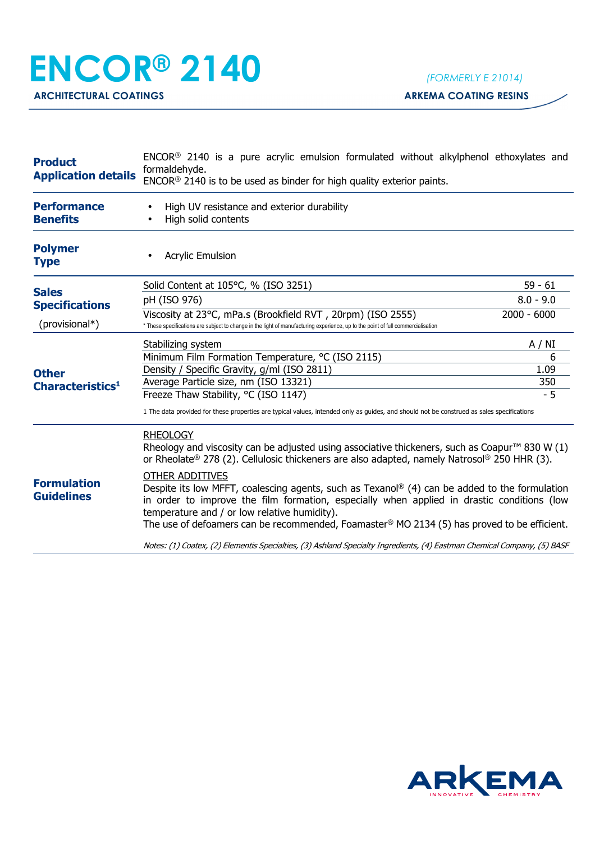## **ENCOR® 2140** *(FORMERLY E 21014)*

| <b>Product</b><br><b>Application details</b>            | ENCOR <sup>®</sup> 2140 is a pure acrylic emulsion formulated without alkylphenol ethoxylates and<br>formaldehyde.<br>$ENCOR®$ 2140 is to be used as binder for high quality exterior paints.                                                                                                                                                                        |               |  |
|---------------------------------------------------------|----------------------------------------------------------------------------------------------------------------------------------------------------------------------------------------------------------------------------------------------------------------------------------------------------------------------------------------------------------------------|---------------|--|
| <b>Performance</b><br><b>Benefits</b>                   | High UV resistance and exterior durability<br>High solid contents                                                                                                                                                                                                                                                                                                    |               |  |
| <b>Polymer</b><br><b>Type</b>                           | <b>Acrylic Emulsion</b>                                                                                                                                                                                                                                                                                                                                              |               |  |
| <b>Sales</b><br><b>Specifications</b><br>(provisional*) | Solid Content at 105°C, % (ISO 3251)                                                                                                                                                                                                                                                                                                                                 | 59 - 61       |  |
|                                                         | pH (ISO 976)                                                                                                                                                                                                                                                                                                                                                         | $8.0 - 9.0$   |  |
|                                                         | Viscosity at 23°C, mPa.s (Brookfield RVT, 20rpm) (ISO 2555)<br>* These specifications are subject to change in the light of manufacturing experience, up to the point of full commercialisation                                                                                                                                                                      | $2000 - 6000$ |  |
| <b>Other</b><br>Characteristics <sup>1</sup>            | Stabilizing system                                                                                                                                                                                                                                                                                                                                                   | A / NI        |  |
|                                                         | Minimum Film Formation Temperature, °C (ISO 2115)                                                                                                                                                                                                                                                                                                                    | 6             |  |
|                                                         | Density / Specific Gravity, g/ml (ISO 2811)                                                                                                                                                                                                                                                                                                                          | 1.09          |  |
|                                                         | Average Particle size, nm (ISO 13321)                                                                                                                                                                                                                                                                                                                                | 350           |  |
|                                                         | Freeze Thaw Stability, °C (ISO 1147)                                                                                                                                                                                                                                                                                                                                 | $-5$          |  |
|                                                         | 1 The data provided for these properties are typical values, intended only as guides, and should not be construed as sales specifications                                                                                                                                                                                                                            |               |  |
| <b>Formulation</b><br><b>Guidelines</b>                 | <b>RHEOLOGY</b><br>Rheology and viscosity can be adjusted using associative thickeners, such as Coapur <sup>TM</sup> 830 W (1)<br>or Rheolate® 278 (2). Cellulosic thickeners are also adapted, namely Natrosol® 250 HHR (3).                                                                                                                                        |               |  |
|                                                         | <b>OTHER ADDITIVES</b><br>Despite its low MFFT, coalescing agents, such as Texanol® (4) can be added to the formulation<br>in order to improve the film formation, especially when applied in drastic conditions (low<br>temperature and / or low relative humidity).<br>The use of defoamers can be recommended, Foamaster® MO 2134 (5) has proved to be efficient. |               |  |
|                                                         | Notes: (1) Coatex, (2) Elementis Specialties, (3) Ashland Specialty Ingredients, (4) Eastman Chemical Company, (5) BASF                                                                                                                                                                                                                                              |               |  |
|                                                         |                                                                                                                                                                                                                                                                                                                                                                      |               |  |